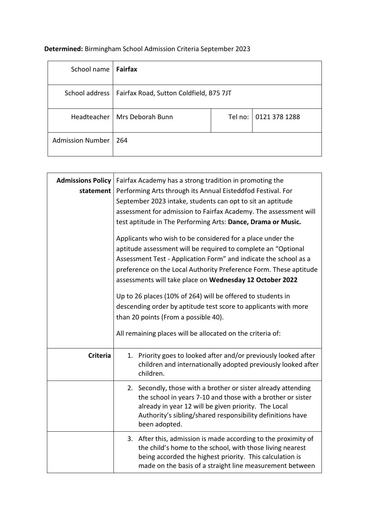## **Determined:** Birmingham School Admission Criteria September 2023

 $\mathbf{r}$ 

| School name             | <b>Fairfax</b>                          |         |               |
|-------------------------|-----------------------------------------|---------|---------------|
| School address          | Fairfax Road, Sutton Coldfield, B75 7JT |         |               |
| Headteacher             | Mrs Deborah Bunn                        | Tel no: | 0121 378 1288 |
| <b>Admission Number</b> | 264                                     |         |               |

| <b>Admissions Policy</b><br>statement | Fairfax Academy has a strong tradition in promoting the<br>Performing Arts through its Annual Eisteddfod Festival. For<br>September 2023 intake, students can opt to sit an aptitude<br>assessment for admission to Fairfax Academy. The assessment will<br>test aptitude in The Performing Arts: Dance, Drama or Music.<br>Applicants who wish to be considered for a place under the<br>aptitude assessment will be required to complete an "Optional<br>Assessment Test - Application Form" and indicate the school as a<br>preference on the Local Authority Preference Form. These aptitude<br>assessments will take place on Wednesday 12 October 2022<br>Up to 26 places (10% of 264) will be offered to students in<br>descending order by aptitude test score to applicants with more<br>than 20 points (From a possible 40).<br>All remaining places will be allocated on the criteria of: |  |
|---------------------------------------|------------------------------------------------------------------------------------------------------------------------------------------------------------------------------------------------------------------------------------------------------------------------------------------------------------------------------------------------------------------------------------------------------------------------------------------------------------------------------------------------------------------------------------------------------------------------------------------------------------------------------------------------------------------------------------------------------------------------------------------------------------------------------------------------------------------------------------------------------------------------------------------------------|--|
| <b>Criteria</b>                       | 1. Priority goes to looked after and/or previously looked after<br>children and internationally adopted previously looked after<br>children.                                                                                                                                                                                                                                                                                                                                                                                                                                                                                                                                                                                                                                                                                                                                                         |  |
|                                       | 2. Secondly, those with a brother or sister already attending<br>the school in years 7-10 and those with a brother or sister<br>already in year 12 will be given priority. The Local<br>Authority's sibling/shared responsibility definitions have<br>been adopted.                                                                                                                                                                                                                                                                                                                                                                                                                                                                                                                                                                                                                                  |  |
|                                       | 3. After this, admission is made according to the proximity of<br>the child's home to the school, with those living nearest<br>being accorded the highest priority. This calculation is<br>made on the basis of a straight line measurement between                                                                                                                                                                                                                                                                                                                                                                                                                                                                                                                                                                                                                                                  |  |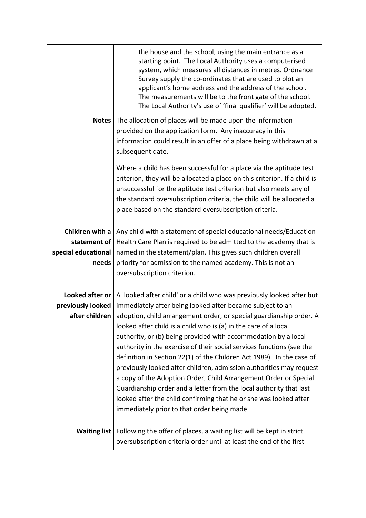|                                                                 | the house and the school, using the main entrance as a<br>starting point. The Local Authority uses a computerised<br>system, which measures all distances in metres. Ordnance<br>Survey supply the co-ordinates that are used to plot an<br>applicant's home address and the address of the school.<br>The measurements will be to the front gate of the school.<br>The Local Authority's use of 'final qualifier' will be adopted.                                                                                                                                                                                                                                                                                                                                                                                                                      |
|-----------------------------------------------------------------|----------------------------------------------------------------------------------------------------------------------------------------------------------------------------------------------------------------------------------------------------------------------------------------------------------------------------------------------------------------------------------------------------------------------------------------------------------------------------------------------------------------------------------------------------------------------------------------------------------------------------------------------------------------------------------------------------------------------------------------------------------------------------------------------------------------------------------------------------------|
| <b>Notes</b>                                                    | The allocation of places will be made upon the information<br>provided on the application form. Any inaccuracy in this<br>information could result in an offer of a place being withdrawn at a<br>subsequent date.                                                                                                                                                                                                                                                                                                                                                                                                                                                                                                                                                                                                                                       |
|                                                                 | Where a child has been successful for a place via the aptitude test<br>criterion, they will be allocated a place on this criterion. If a child is<br>unsuccessful for the aptitude test criterion but also meets any of<br>the standard oversubscription criteria, the child will be allocated a<br>place based on the standard oversubscription criteria.                                                                                                                                                                                                                                                                                                                                                                                                                                                                                               |
| Children with a<br>statement of<br>special educational<br>needs | Any child with a statement of special educational needs/Education<br>Health Care Plan is required to be admitted to the academy that is<br>named in the statement/plan. This gives such children overall<br>priority for admission to the named academy. This is not an<br>oversubscription criterion.                                                                                                                                                                                                                                                                                                                                                                                                                                                                                                                                                   |
| previously looked<br>after children                             | Looked after or $ A $ looked after child' or a child who was previously looked after but<br>immediately after being looked after became subject to an<br>adoption, child arrangement order, or special guardianship order. A<br>looked after child is a child who is (a) in the care of a local<br>authority, or (b) being provided with accommodation by a local<br>authority in the exercise of their social services functions (see the<br>definition in Section 22(1) of the Children Act 1989). In the case of<br>previously looked after children, admission authorities may request<br>a copy of the Adoption Order, Child Arrangement Order or Special<br>Guardianship order and a letter from the local authority that last<br>looked after the child confirming that he or she was looked after<br>immediately prior to that order being made. |
| <b>Waiting list</b>                                             | Following the offer of places, a waiting list will be kept in strict<br>oversubscription criteria order until at least the end of the first                                                                                                                                                                                                                                                                                                                                                                                                                                                                                                                                                                                                                                                                                                              |